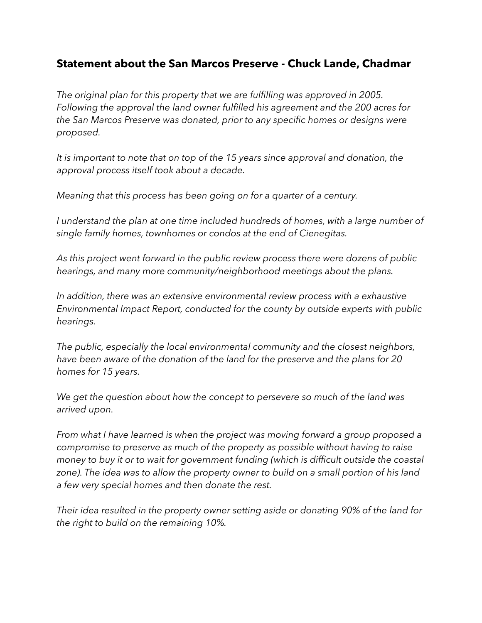## **Statement about the San Marcos Preserve - Chuck Lande, Chadmar**

*The original plan for this property that we are fulfilling was approved in 2005. Following the approval the land owner fulfilled his agreement and the 200 acres for the San Marcos Preserve was donated, prior to any specific homes or designs were proposed.* 

*It is important to note that on top of the 15 years since approval and donation, the approval process itself took about a decade.* 

*Meaning that this process has been going on for a quarter of a century.*

*I understand the plan at one time included hundreds of homes, with a large number of single family homes, townhomes or condos at the end of Cienegitas.*

*As this project went forward in the public review process there were dozens of public hearings, and many more community/neighborhood meetings about the plans.*

*In addition, there was an extensive environmental review process with a exhaustive Environmental Impact Report, conducted for the county by outside experts with public hearings.*

*The public, especially the local environmental community and the closest neighbors, have been aware of the donation of the land for the preserve and the plans for 20 homes for 15 years.*

*We get the question about how the concept to persevere so much of the land was arrived upon.* 

*From what I have learned is when the project was moving forward a group proposed a compromise to preserve as much of the property as possible without having to raise money to buy it or to wait for government funding (which is difficult outside the coastal*  zone). The idea was to allow the property owner to build on a small portion of his land *a few very special homes and then donate the rest.* 

*Their idea resulted in the property owner setting aside or donating 90% of the land for the right to build on the remaining 10%.*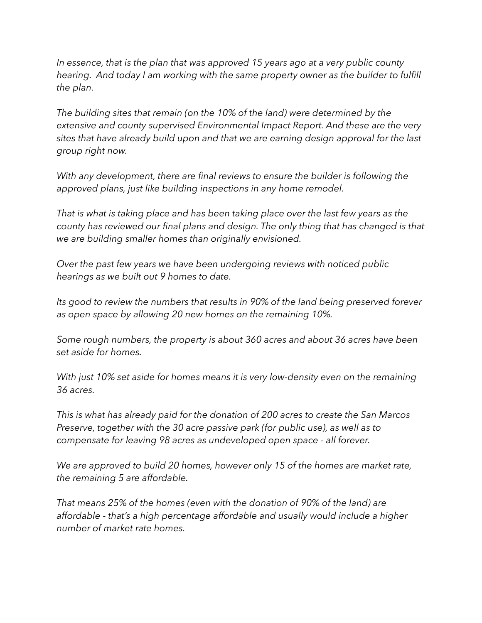*In essence, that is the plan that was approved 15 years ago at a very public county hearing. And today I am working with the same property owner as the builder to fulfill the plan.* 

*The building sites that remain (on the 10% of the land) were determined by the extensive and county supervised Environmental Impact Report. And these are the very sites that have already build upon and that we are earning design approval for the last group right now.*

*With any development, there are final reviews to ensure the builder is following the approved plans, just like building inspections in any home remodel.*

*That is what is taking place and has been taking place over the last few years as the county has reviewed our final plans and design. The only thing that has changed is that we are building smaller homes than originally envisioned.*

*Over the past few years we have been undergoing reviews with noticed public hearings as we built out 9 homes to date.*

*Its good to review the numbers that results in 90% of the land being preserved forever as open space by allowing 20 new homes on the remaining 10%.*

*Some rough numbers, the property is about 360 acres and about 36 acres have been set aside for homes.*

*With just 10% set aside for homes means it is very low-density even on the remaining 36 acres.* 

*This is what has already paid for the donation of 200 acres to create the San Marcos Preserve, together with the 30 acre passive park (for public use), as well as to compensate for leaving 98 acres as undeveloped open space - all forever.* 

*We are approved to build 20 homes, however only 15 of the homes are market rate, the remaining 5 are affordable.* 

*That means 25% of the homes (even with the donation of 90% of the land) are affordable - that's a high percentage affordable and usually would include a higher number of market rate homes.*